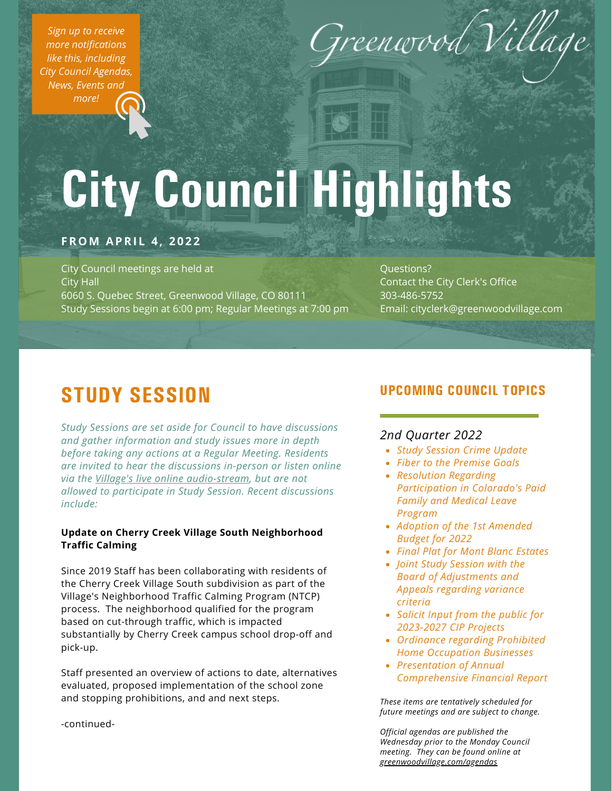*Sign up to receive more [notifications](https://greenwoodvillage.com/list.aspx) like this, including City Council Agendas, News, Events and more!*



# City Council Highlights

### **FROM APRI L 4 , 2 0 2 2**

City Council meetings are held at City Hall 6060 S. Quebec Street, Greenwood Village, CO 80111 Study Sessions begin at 6:00 pm; Regular Meetings at 7:00 pm

Questions? Contact the City Clerk's Office 303-486-5752 Email: cityclerk@greenwoodvillage.com

# STUDY SESSION

*Study Sessions are set aside for Council to have discussions and gather information and study issues more in depth before taking any actions at a Regular Meeting. Residents are invited to hear the discussions in-person or listen online via the Village's live online [audio-stream](https://greenwoodvillage.com/2390/Agendas-Minutes-Webcasts), but are not allowed to participate in Study Session. Recent discussions include:*

### **Update on Cherry Creek Village South Neighborhood Traffic Calming**

Since 2019 Staff has been collaborating with residents of the Cherry Creek Village South subdivision as part of the Village's Neighborhood Traffic Calming Program (NTCP) process. The neighborhood qualified for the program based on cut-through traffic, which is impacted substantially by Cherry Creek campus school drop-off and pick-up.

Staff presented an overview of actions to date, alternatives evaluated, proposed implementation of the school zone and stopping prohibitions, and and next steps.

## UPCOMING COUNCIL TOPICS

### *2nd Quarter 2022*

- *Study Session Crime Update*
- *Fiber to the Premise Goals*
- *Resolution Regarding Participation in Colorado's Paid Family and Medical Leave Program*
- *Adoption of the 1st Amended Budget for 2022*
- *Final Plat for Mont Blanc Estates*
- *Joint Study Session with the Board of Adjustments and Appeals regarding variance criteria*
- *Solicit Input from the public for 2023-2027 CIP Projects*
- *Ordinance regarding Prohibited Home Occupation Businesses*
- *Presentation of Annual Comprehensive Financial Report*

*These items are tentatively scheduled for future meetings and are subject to change.*

*Official agendas are published the Wednesday prior to the Monday Council meeting. They can be found online at [greenwoodvillage.com/agendas](http://greenwoodvillage.com/agendas)*

-continued-